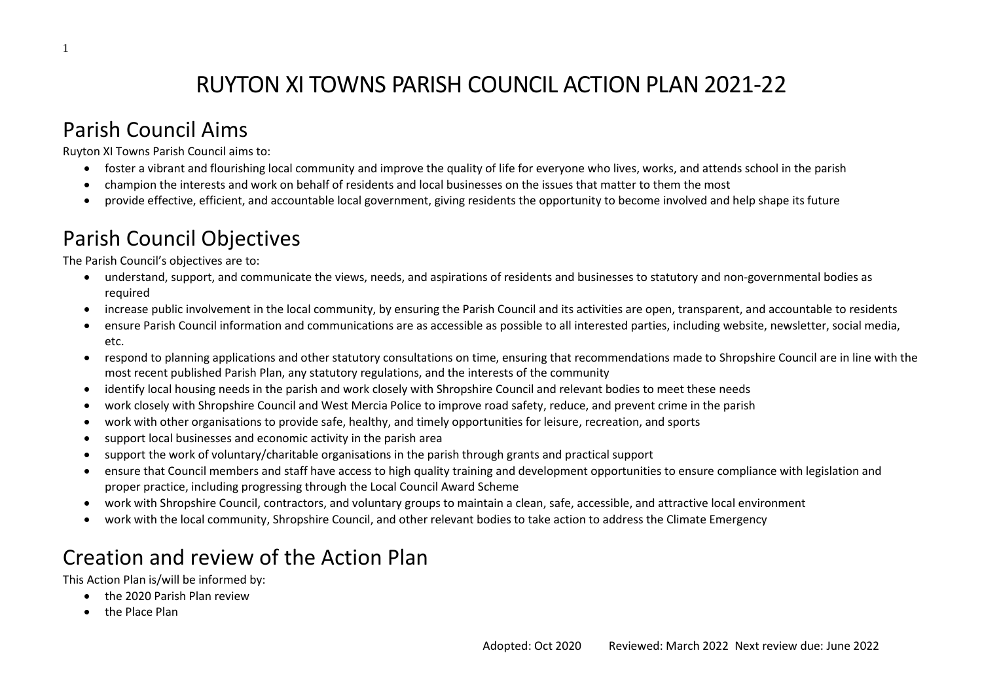# RUYTON XI TOWNS PARISH COUNCIL ACTION PLAN 2021-22

#### Parish Council Aims

Ruyton XI Towns Parish Council aims to:

- foster a vibrant and flourishing local community and improve the quality of life for everyone who lives, works, and attends school in the parish
- champion the interests and work on behalf of residents and local businesses on the issues that matter to them the most
- provide effective, efficient, and accountable local government, giving residents the opportunity to become involved and help shape its future

# Parish Council Objectives

The Parish Council's objectives are to:

- understand, support, and communicate the views, needs, and aspirations of residents and businesses to statutory and non-governmental bodies as required
- increase public involvement in the local community, by ensuring the Parish Council and its activities are open, transparent, and accountable to residents
- ensure Parish Council information and communications are as accessible as possible to all interested parties, including website, newsletter, social media, etc.
- respond to planning applications and other statutory consultations on time, ensuring that recommendations made to Shropshire Council are in line with the most recent published Parish Plan, any statutory regulations, and the interests of the community
- identify local housing needs in the parish and work closely with Shropshire Council and relevant bodies to meet these needs
- work closely with Shropshire Council and West Mercia Police to improve road safety, reduce, and prevent crime in the parish
- work with other organisations to provide safe, healthy, and timely opportunities for leisure, recreation, and sports
- support local businesses and economic activity in the parish area
- support the work of voluntary/charitable organisations in the parish through grants and practical support
- ensure that Council members and staff have access to high quality training and development opportunities to ensure compliance with legislation and proper practice, including progressing through the Local Council Award Scheme
- work with Shropshire Council, contractors, and voluntary groups to maintain a clean, safe, accessible, and attractive local environment
- work with the local community, Shropshire Council, and other relevant bodies to take action to address the Climate Emergency

# Creation and review of the Action Plan

This Action Plan is/will be informed by:

- the 2020 Parish Plan review
- the Place Plan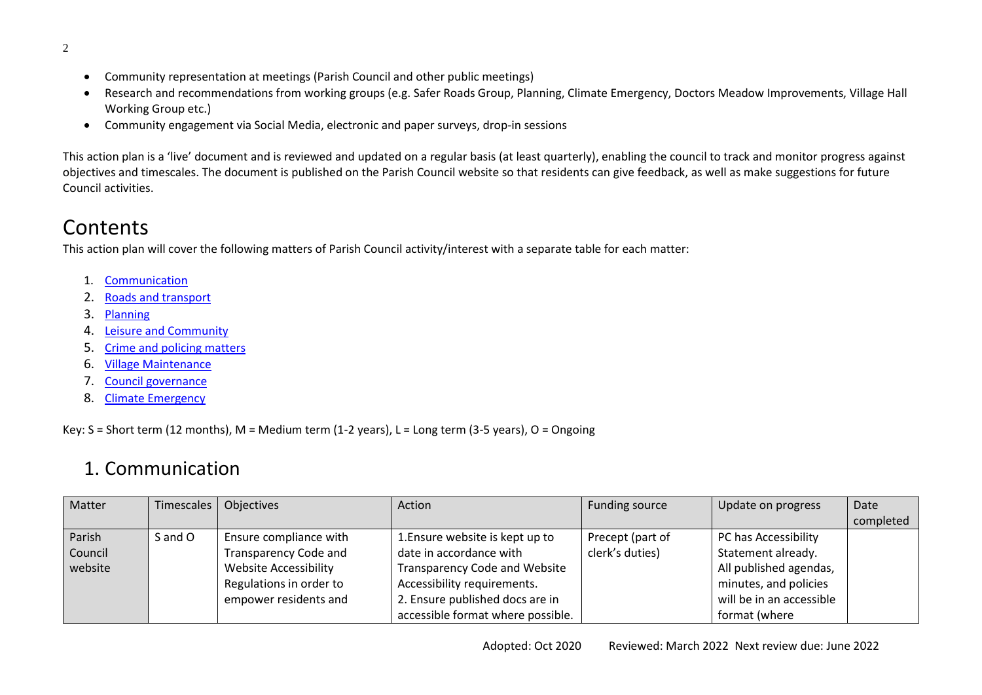- Community representation at meetings (Parish Council and other public meetings)
- Research and recommendations from working groups (e.g. Safer Roads Group, Planning, Climate Emergency, Doctors Meadow Improvements, Village Hall Working Group etc.)
- Community engagement via Social Media, electronic and paper surveys, drop-in sessions

This action plan is a 'live' document and is reviewed and updated on a regular basis (at least quarterly), enabling the council to track and monitor progress against objectives and timescales. The document is published on the Parish Council website so that residents can give feedback, as well as make suggestions for future Council activities.

### **Contents**

This action plan will cover the following matters of Parish Council activity/interest with a separate table for each matter:

- 1. [Communication](#page-1-0)
- 2. [Roads and transport](#page-3-0)
- 3. [Planning](#page-4-0)
- 4. [Leisure and Community](#page-6-0)
- 5. Crime [and policing matters](#page-9-0)
- 6. [Village Maintenance](#page-9-1)
- 7. [Council governance](#page-11-0)
- 8. [Climate Emergency](#page-12-0)

Key: S = Short term (12 months), M = Medium term (1-2 years), L = Long term (3-5 years), O = Ongoing

#### 1. Communication

<span id="page-1-0"></span>

| Matter  | Timescales | Objectives                   | Action                               | Funding source   | Update on progress       | Date      |
|---------|------------|------------------------------|--------------------------------------|------------------|--------------------------|-----------|
|         |            |                              |                                      |                  |                          | completed |
| Parish  | S and O    | Ensure compliance with       | 1. Ensure website is kept up to      | Precept (part of | PC has Accessibility     |           |
| Council |            | <b>Transparency Code and</b> | date in accordance with              | clerk's duties)  | Statement already.       |           |
| website |            | <b>Website Accessibility</b> | <b>Transparency Code and Website</b> |                  | All published agendas,   |           |
|         |            | Regulations in order to      | Accessibility requirements.          |                  | minutes, and policies    |           |
|         |            | empower residents and        | 2. Ensure published docs are in      |                  | will be in an accessible |           |
|         |            |                              | accessible format where possible.    |                  | format (where            |           |

2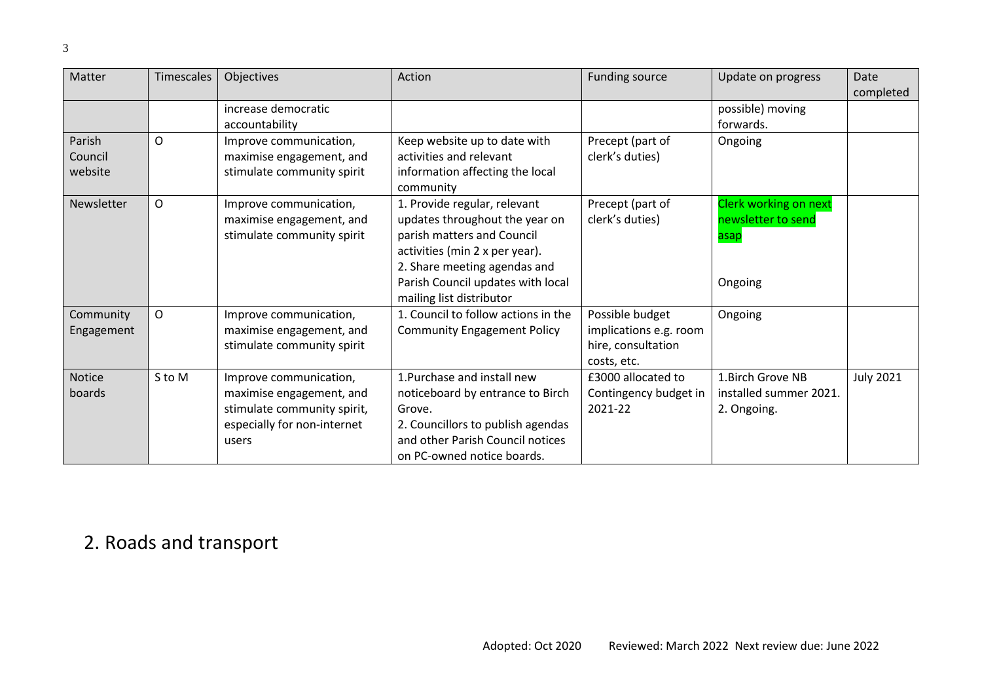| Matter                       | <b>Timescales</b> | Objectives                                                                                                                | Action                                                                                                                                                                                                                          | Funding source                                                                 | Update on progress                                             | Date<br>completed |
|------------------------------|-------------------|---------------------------------------------------------------------------------------------------------------------------|---------------------------------------------------------------------------------------------------------------------------------------------------------------------------------------------------------------------------------|--------------------------------------------------------------------------------|----------------------------------------------------------------|-------------------|
|                              |                   | increase democratic<br>accountability                                                                                     |                                                                                                                                                                                                                                 |                                                                                | possible) moving<br>forwards.                                  |                   |
| Parish<br>Council<br>website | O                 | Improve communication,<br>maximise engagement, and<br>stimulate community spirit                                          | Keep website up to date with<br>activities and relevant<br>information affecting the local<br>community                                                                                                                         | Precept (part of<br>clerk's duties)                                            | Ongoing                                                        |                   |
| Newsletter                   | O                 | Improve communication,<br>maximise engagement, and<br>stimulate community spirit                                          | 1. Provide regular, relevant<br>updates throughout the year on<br>parish matters and Council<br>activities (min 2 x per year).<br>2. Share meeting agendas and<br>Parish Council updates with local<br>mailing list distributor | Precept (part of<br>clerk's duties)                                            | Clerk working on next<br>newsletter to send<br>asap<br>Ongoing |                   |
| Community<br>Engagement      | $\mathsf{O}$      | Improve communication,<br>maximise engagement, and<br>stimulate community spirit                                          | 1. Council to follow actions in the<br><b>Community Engagement Policy</b>                                                                                                                                                       | Possible budget<br>implications e.g. room<br>hire, consultation<br>costs, etc. | Ongoing                                                        |                   |
| <b>Notice</b><br>boards      | S to M            | Improve communication,<br>maximise engagement, and<br>stimulate community spirit,<br>especially for non-internet<br>users | 1. Purchase and install new<br>noticeboard by entrance to Birch<br>Grove.<br>2. Councillors to publish agendas<br>and other Parish Council notices<br>on PC-owned notice boards.                                                | £3000 allocated to<br>Contingency budget in<br>2021-22                         | 1. Birch Grove NB<br>installed summer 2021.<br>2. Ongoing.     | <b>July 2021</b>  |

#### 2. Roads and transport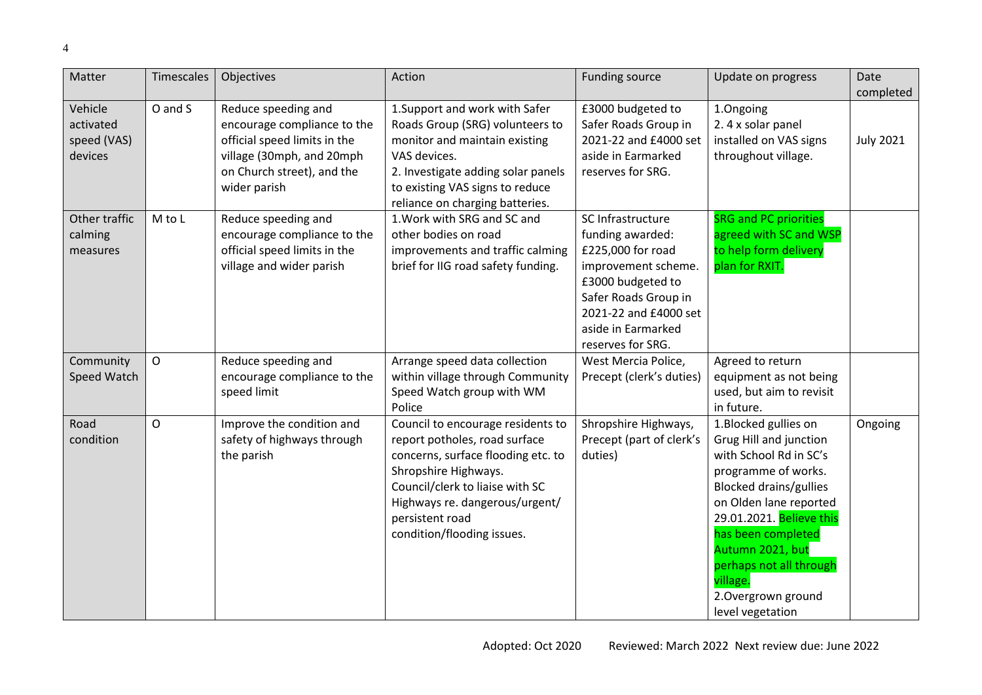<span id="page-3-0"></span>

| Matter                                         | Timescales  | Objectives                                                                                                                                                    | Action                                                                                                                                                                                                                                                 | <b>Funding source</b>                                                                                                                                                                              | Update on progress                                                                                                                                                                                                                                                                                                 | Date             |
|------------------------------------------------|-------------|---------------------------------------------------------------------------------------------------------------------------------------------------------------|--------------------------------------------------------------------------------------------------------------------------------------------------------------------------------------------------------------------------------------------------------|----------------------------------------------------------------------------------------------------------------------------------------------------------------------------------------------------|--------------------------------------------------------------------------------------------------------------------------------------------------------------------------------------------------------------------------------------------------------------------------------------------------------------------|------------------|
|                                                |             |                                                                                                                                                               |                                                                                                                                                                                                                                                        |                                                                                                                                                                                                    |                                                                                                                                                                                                                                                                                                                    | completed        |
| Vehicle<br>activated<br>speed (VAS)<br>devices | O and S     | Reduce speeding and<br>encourage compliance to the<br>official speed limits in the<br>village (30mph, and 20mph<br>on Church street), and the<br>wider parish | 1. Support and work with Safer<br>Roads Group (SRG) volunteers to<br>monitor and maintain existing<br>VAS devices.<br>2. Investigate adding solar panels<br>to existing VAS signs to reduce<br>reliance on charging batteries.                         | £3000 budgeted to<br>Safer Roads Group in<br>2021-22 and £4000 set<br>aside in Earmarked<br>reserves for SRG.                                                                                      | 1.Ongoing<br>2.4 x solar panel<br>installed on VAS signs<br>throughout village.                                                                                                                                                                                                                                    | <b>July 2021</b> |
| Other traffic<br>calming<br>measures           | M to L      | Reduce speeding and<br>encourage compliance to the<br>official speed limits in the<br>village and wider parish                                                | 1. Work with SRG and SC and<br>other bodies on road<br>improvements and traffic calming<br>brief for IIG road safety funding.                                                                                                                          | SC Infrastructure<br>funding awarded:<br>£225,000 for road<br>improvement scheme.<br>£3000 budgeted to<br>Safer Roads Group in<br>2021-22 and £4000 set<br>aside in Earmarked<br>reserves for SRG. | <b>SRG and PC priorities</b><br>agreed with SC and WSP<br>to help form delivery<br>plan for RXIT.                                                                                                                                                                                                                  |                  |
| Community<br>Speed Watch                       | $\mathsf O$ | Reduce speeding and<br>encourage compliance to the<br>speed limit                                                                                             | Arrange speed data collection<br>within village through Community<br>Speed Watch group with WM<br>Police                                                                                                                                               | West Mercia Police,<br>Precept (clerk's duties)                                                                                                                                                    | Agreed to return<br>equipment as not being<br>used, but aim to revisit<br>in future.                                                                                                                                                                                                                               |                  |
| Road<br>condition                              | O           | Improve the condition and<br>safety of highways through<br>the parish                                                                                         | Council to encourage residents to<br>report potholes, road surface<br>concerns, surface flooding etc. to<br>Shropshire Highways.<br>Council/clerk to liaise with SC<br>Highways re. dangerous/urgent/<br>persistent road<br>condition/flooding issues. | Shropshire Highways,<br>Precept (part of clerk's<br>duties)                                                                                                                                        | 1.Blocked gullies on<br>Grug Hill and junction<br>with School Rd in SC's<br>programme of works.<br><b>Blocked drains/gullies</b><br>on Olden lane reported<br>29.01.2021. Believe this<br>has been completed<br>Autumn 2021, but<br>perhaps not all through<br>village.<br>2. Overgrown ground<br>level vegetation | Ongoing          |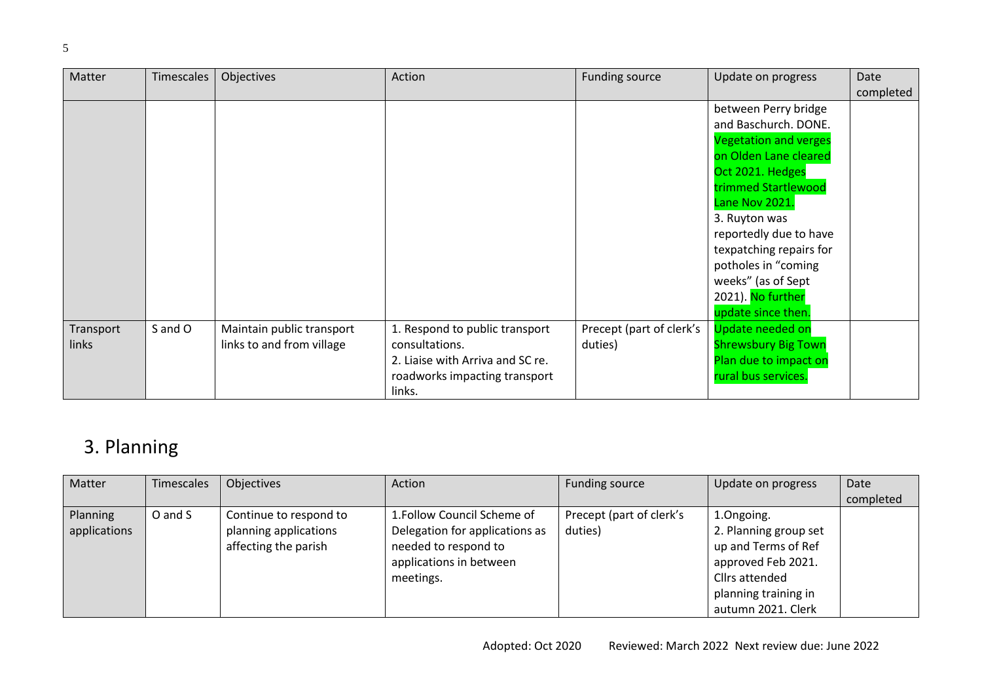| Matter    | Timescales | Objectives                | Action                           | <b>Funding source</b>    | Update on progress           | Date      |
|-----------|------------|---------------------------|----------------------------------|--------------------------|------------------------------|-----------|
|           |            |                           |                                  |                          |                              | completed |
|           |            |                           |                                  |                          | between Perry bridge         |           |
|           |            |                           |                                  |                          | and Baschurch. DONE.         |           |
|           |            |                           |                                  |                          | <b>Vegetation and verges</b> |           |
|           |            |                           |                                  |                          | on Olden Lane cleared        |           |
|           |            |                           |                                  |                          | Oct 2021. Hedges             |           |
|           |            |                           |                                  |                          | trimmed Startlewood          |           |
|           |            |                           |                                  |                          | Lane Nov 2021.               |           |
|           |            |                           |                                  |                          | 3. Ruyton was                |           |
|           |            |                           |                                  |                          | reportedly due to have       |           |
|           |            |                           |                                  |                          | texpatching repairs for      |           |
|           |            |                           |                                  |                          | potholes in "coming          |           |
|           |            |                           |                                  |                          | weeks" (as of Sept           |           |
|           |            |                           |                                  |                          | 2021). No further            |           |
|           |            |                           |                                  |                          | update since then.           |           |
| Transport | S and O    | Maintain public transport | 1. Respond to public transport   | Precept (part of clerk's | Update needed on             |           |
| links     |            | links to and from village | consultations.                   | duties)                  | <b>Shrewsbury Big Town</b>   |           |
|           |            |                           | 2. Liaise with Arriva and SC re. |                          | Plan due to impact on        |           |
|           |            |                           | roadworks impacting transport    |                          | rural bus services.          |           |
|           |            |                           | links.                           |                          |                              |           |

### 3. Planning

<span id="page-4-0"></span>

| Matter       | Timescales | Objectives             | Action                         | Funding source           | Update on progress    | Date      |
|--------------|------------|------------------------|--------------------------------|--------------------------|-----------------------|-----------|
|              |            |                        |                                |                          |                       | completed |
| Planning     | O and S    | Continue to respond to | 1. Follow Council Scheme of    | Precept (part of clerk's | 1.Ongoing.            |           |
| applications |            | planning applications  | Delegation for applications as | duties)                  | 2. Planning group set |           |
|              |            | affecting the parish   | needed to respond to           |                          | up and Terms of Ref   |           |
|              |            |                        | applications in between        |                          | approved Feb 2021.    |           |
|              |            |                        | meetings.                      |                          | Cllrs attended        |           |
|              |            |                        |                                |                          | planning training in  |           |
|              |            |                        |                                |                          | autumn 2021. Clerk    |           |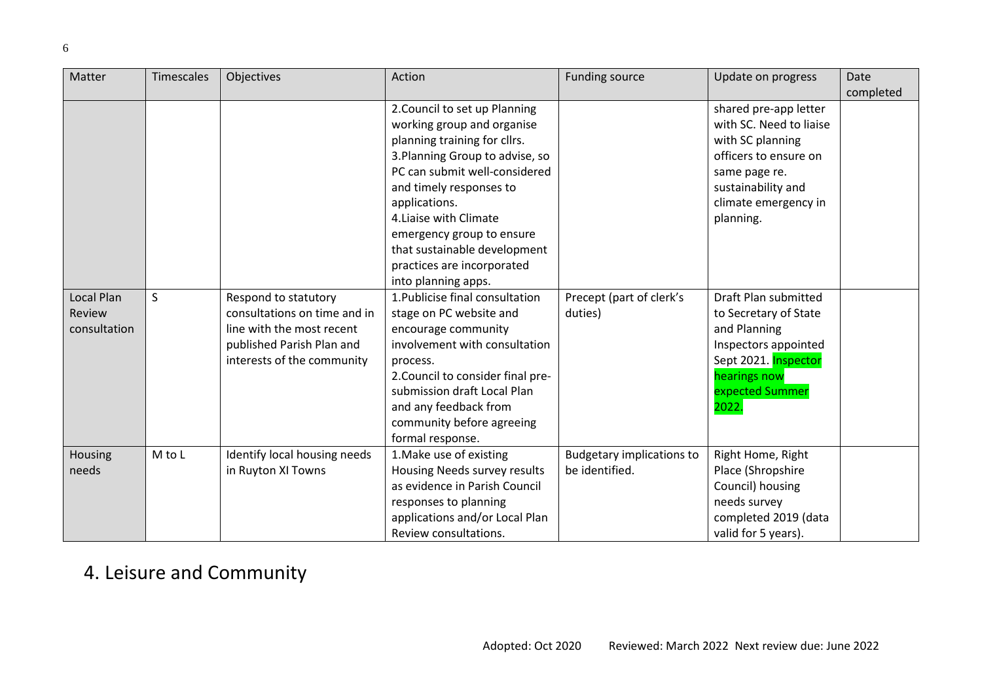| Matter       | <b>Timescales</b> | Objectives                   | Action                            | <b>Funding source</b>            | Update on progress      | Date      |
|--------------|-------------------|------------------------------|-----------------------------------|----------------------------------|-------------------------|-----------|
|              |                   |                              |                                   |                                  |                         | completed |
|              |                   |                              | 2. Council to set up Planning     |                                  | shared pre-app letter   |           |
|              |                   |                              | working group and organise        |                                  | with SC. Need to liaise |           |
|              |                   |                              | planning training for cllrs.      |                                  | with SC planning        |           |
|              |                   |                              | 3. Planning Group to advise, so   |                                  | officers to ensure on   |           |
|              |                   |                              | PC can submit well-considered     |                                  | same page re.           |           |
|              |                   |                              | and timely responses to           |                                  | sustainability and      |           |
|              |                   |                              | applications.                     |                                  | climate emergency in    |           |
|              |                   |                              | 4. Liaise with Climate            |                                  | planning.               |           |
|              |                   |                              | emergency group to ensure         |                                  |                         |           |
|              |                   |                              | that sustainable development      |                                  |                         |           |
|              |                   |                              | practices are incorporated        |                                  |                         |           |
|              |                   |                              | into planning apps.               |                                  |                         |           |
| Local Plan   | S                 | Respond to statutory         | 1. Publicise final consultation   | Precept (part of clerk's         | Draft Plan submitted    |           |
| Review       |                   | consultations on time and in | stage on PC website and           | duties)                          | to Secretary of State   |           |
| consultation |                   | line with the most recent    | encourage community               |                                  | and Planning            |           |
|              |                   | published Parish Plan and    | involvement with consultation     |                                  | Inspectors appointed    |           |
|              |                   | interests of the community   | process.                          |                                  | Sept 2021. Inspector    |           |
|              |                   |                              | 2. Council to consider final pre- |                                  | hearings now            |           |
|              |                   |                              | submission draft Local Plan       |                                  | expected Summer         |           |
|              |                   |                              | and any feedback from             |                                  | 2022.                   |           |
|              |                   |                              | community before agreeing         |                                  |                         |           |
|              |                   |                              | formal response.                  |                                  |                         |           |
| Housing      | M to L            | Identify local housing needs | 1. Make use of existing           | <b>Budgetary implications to</b> | Right Home, Right       |           |
| needs        |                   | in Ruyton XI Towns           | Housing Needs survey results      | be identified.                   | Place (Shropshire       |           |
|              |                   |                              | as evidence in Parish Council     |                                  | Council) housing        |           |
|              |                   |                              | responses to planning             |                                  | needs survey            |           |
|              |                   |                              | applications and/or Local Plan    |                                  | completed 2019 (data    |           |
|              |                   |                              | Review consultations.             |                                  | valid for 5 years).     |           |

## 4. Leisure and Community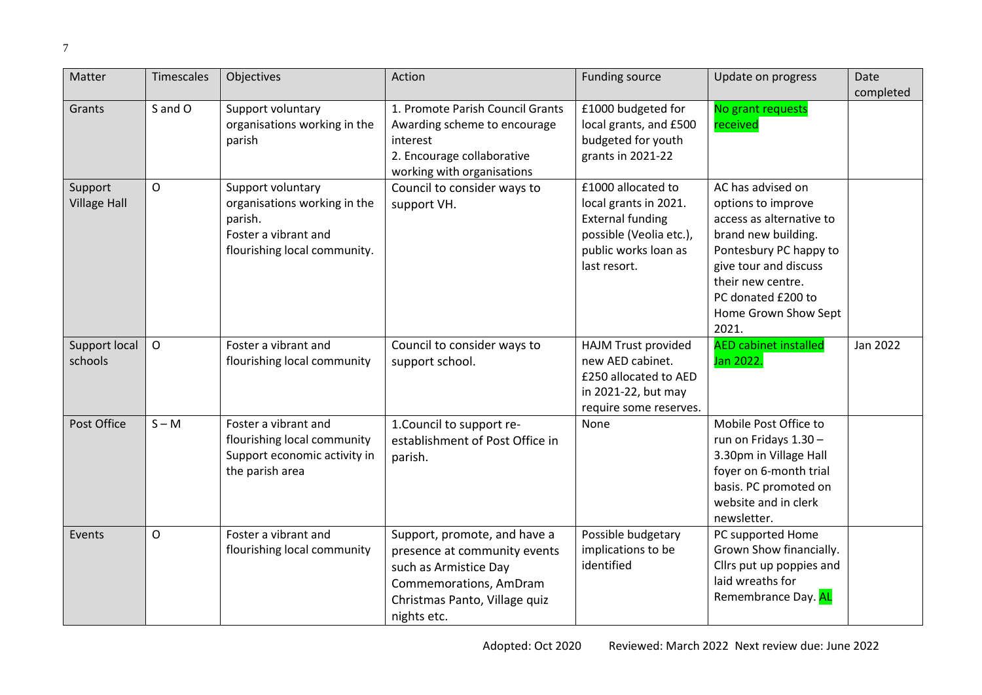<span id="page-6-0"></span>

| Matter                         | <b>Timescales</b> | Objectives                                                                                                           | Action                                                                                                                                                          | <b>Funding source</b>                                                                                                                     | Update on progress                                                                                                                                                                                                        | Date<br>completed |
|--------------------------------|-------------------|----------------------------------------------------------------------------------------------------------------------|-----------------------------------------------------------------------------------------------------------------------------------------------------------------|-------------------------------------------------------------------------------------------------------------------------------------------|---------------------------------------------------------------------------------------------------------------------------------------------------------------------------------------------------------------------------|-------------------|
| Grants                         | S and O           | Support voluntary<br>organisations working in the<br>parish                                                          | 1. Promote Parish Council Grants<br>Awarding scheme to encourage<br>interest<br>2. Encourage collaborative<br>working with organisations                        | £1000 budgeted for<br>local grants, and £500<br>budgeted for youth<br>grants in 2021-22                                                   | No grant requests<br>received                                                                                                                                                                                             |                   |
| Support<br><b>Village Hall</b> | O                 | Support voluntary<br>organisations working in the<br>parish.<br>Foster a vibrant and<br>flourishing local community. | Council to consider ways to<br>support VH.                                                                                                                      | £1000 allocated to<br>local grants in 2021.<br><b>External funding</b><br>possible (Veolia etc.),<br>public works loan as<br>last resort. | AC has advised on<br>options to improve<br>access as alternative to<br>brand new building.<br>Pontesbury PC happy to<br>give tour and discuss<br>their new centre.<br>PC donated £200 to<br>Home Grown Show Sept<br>2021. |                   |
| Support local<br>schools       | $\mathsf O$       | Foster a vibrant and<br>flourishing local community                                                                  | Council to consider ways to<br>support school.                                                                                                                  | <b>HAJM Trust provided</b><br>new AED cabinet.<br>£250 allocated to AED<br>in 2021-22, but may<br>require some reserves.                  | <b>AED cabinet installed</b><br>Jan 2022.                                                                                                                                                                                 | Jan 2022          |
| Post Office                    | $S - M$           | Foster a vibrant and<br>flourishing local community<br>Support economic activity in<br>the parish area               | 1. Council to support re-<br>establishment of Post Office in<br>parish.                                                                                         | None                                                                                                                                      | Mobile Post Office to<br>run on Fridays 1.30 -<br>3.30pm in Village Hall<br>foyer on 6-month trial<br>basis. PC promoted on<br>website and in clerk<br>newsletter.                                                        |                   |
| Events                         | O                 | Foster a vibrant and<br>flourishing local community                                                                  | Support, promote, and have a<br>presence at community events<br>such as Armistice Day<br>Commemorations, AmDram<br>Christmas Panto, Village quiz<br>nights etc. | Possible budgetary<br>implications to be<br>identified                                                                                    | PC supported Home<br>Grown Show financially.<br>Cllrs put up poppies and<br>laid wreaths for<br>Remembrance Day. AL                                                                                                       |                   |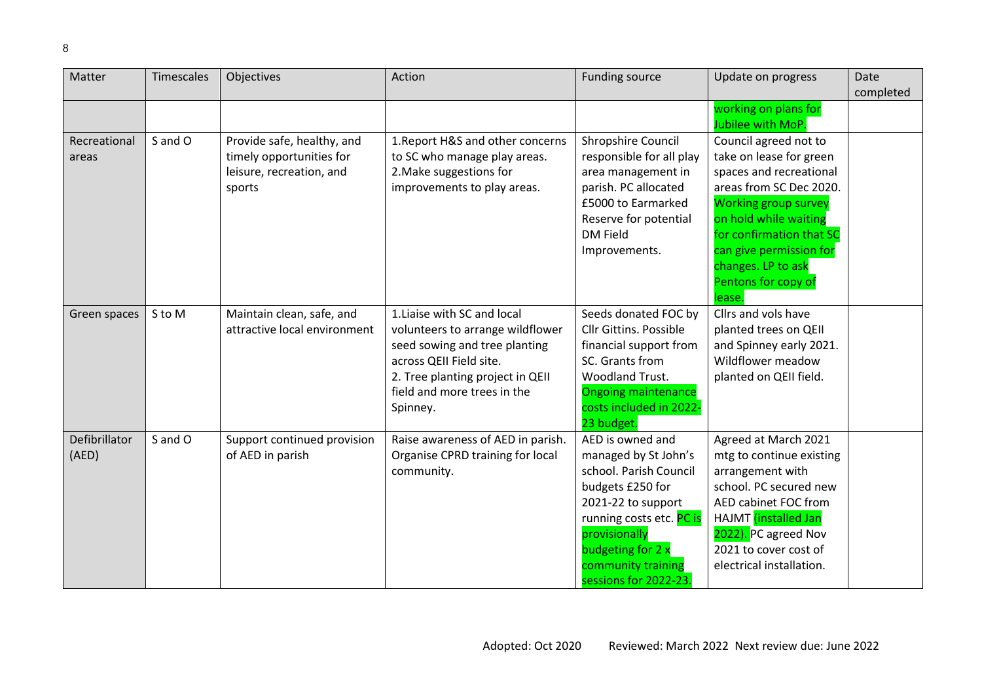| Matter        | <b>Timescales</b> | Objectives                                      | Action                                                                | Funding source                             | Update on progress                                 | Date      |
|---------------|-------------------|-------------------------------------------------|-----------------------------------------------------------------------|--------------------------------------------|----------------------------------------------------|-----------|
|               |                   |                                                 |                                                                       |                                            |                                                    | completed |
|               |                   |                                                 |                                                                       |                                            | working on plans for                               |           |
|               |                   |                                                 |                                                                       |                                            | Jubilee with MoP.                                  |           |
| Recreational  | S and O           | Provide safe, healthy, and                      | 1. Report H&S and other concerns                                      | Shropshire Council                         | Council agreed not to                              |           |
| areas         |                   | timely opportunities for                        | to SC who manage play areas.                                          | responsible for all play                   | take on lease for green                            |           |
|               |                   | leisure, recreation, and                        | 2. Make suggestions for                                               | area management in                         | spaces and recreational<br>areas from SC Dec 2020. |           |
|               |                   | sports                                          | improvements to play areas.                                           | parish. PC allocated<br>£5000 to Earmarked | <b>Working group survey</b>                        |           |
|               |                   |                                                 |                                                                       | Reserve for potential                      | on hold while waiting                              |           |
|               |                   |                                                 |                                                                       | <b>DM Field</b>                            | for confirmation that SC                           |           |
|               |                   |                                                 |                                                                       | Improvements.                              | can give permission for                            |           |
|               |                   |                                                 |                                                                       |                                            | changes. LP to ask                                 |           |
|               |                   |                                                 |                                                                       |                                            | Pentons for copy of                                |           |
|               |                   |                                                 |                                                                       |                                            | lease.                                             |           |
| Green spaces  | S to M            | Maintain clean, safe, and                       | 1. Liaise with SC and local                                           | Seeds donated FOC by                       | Cllrs and vols have                                |           |
|               |                   | attractive local environment                    | volunteers to arrange wildflower                                      | <b>Cllr Gittins, Possible</b>              | planted trees on QEII                              |           |
|               |                   |                                                 | seed sowing and tree planting                                         | financial support from                     | and Spinney early 2021.                            |           |
|               |                   |                                                 | across QEII Field site.                                               | SC. Grants from                            | Wildflower meadow                                  |           |
|               |                   |                                                 | 2. Tree planting project in QEII                                      | Woodland Trust.                            | planted on QEII field.                             |           |
|               |                   |                                                 | field and more trees in the                                           | <b>Ongoing maintenance</b>                 |                                                    |           |
|               |                   |                                                 | Spinney.                                                              | costs included in 2022-                    |                                                    |           |
| Defibrillator |                   |                                                 |                                                                       | 23 budget.<br>AED is owned and             |                                                    |           |
| (AED)         | S and O           | Support continued provision<br>of AED in parish | Raise awareness of AED in parish.<br>Organise CPRD training for local | managed by St John's                       | Agreed at March 2021<br>mtg to continue existing   |           |
|               |                   |                                                 | community.                                                            | school. Parish Council                     | arrangement with                                   |           |
|               |                   |                                                 |                                                                       | budgets £250 for                           | school. PC secured new                             |           |
|               |                   |                                                 |                                                                       | 2021-22 to support                         | AED cabinet FOC from                               |           |
|               |                   |                                                 |                                                                       | running costs etc. PC is                   | HAJMT <i>(installed Jan</i>                        |           |
|               |                   |                                                 |                                                                       | provisionally                              | 2022). PC agreed Nov                               |           |
|               |                   |                                                 |                                                                       | budgeting for 2 x                          | 2021 to cover cost of                              |           |
|               |                   |                                                 |                                                                       | community training                         | electrical installation.                           |           |
|               |                   |                                                 |                                                                       | sessions for 2022-23.                      |                                                    |           |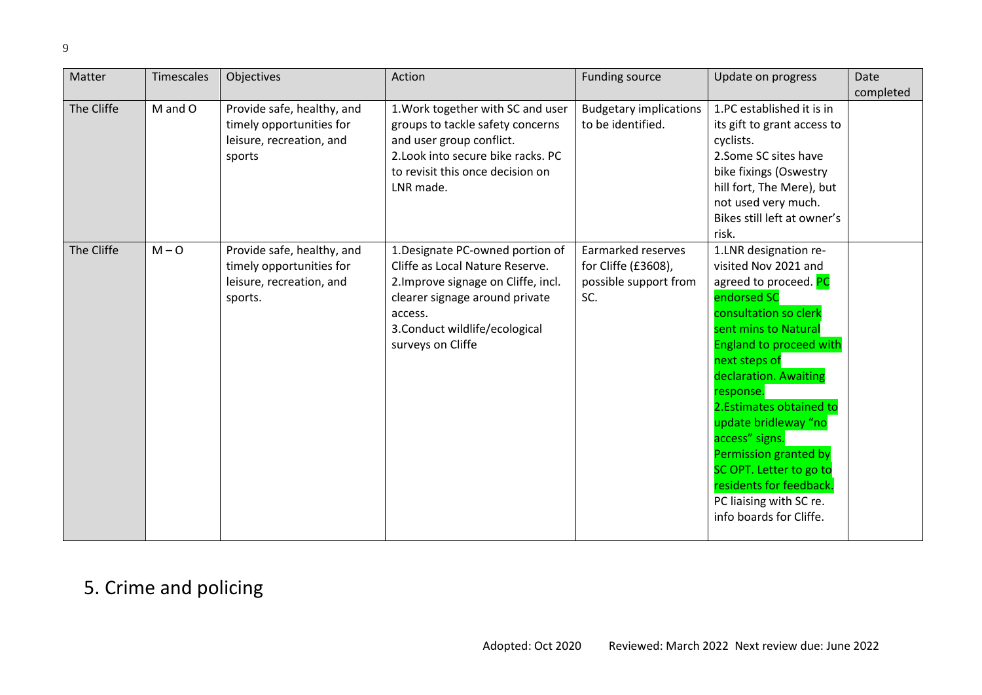| Matter     | Timescales | Objectives                                                                                    | Action                                                                                                                                                                                                         | Funding source                                                            | Update on progress                                                                                                                                                                                                                                                                                                                                                                                                                         | Date      |
|------------|------------|-----------------------------------------------------------------------------------------------|----------------------------------------------------------------------------------------------------------------------------------------------------------------------------------------------------------------|---------------------------------------------------------------------------|--------------------------------------------------------------------------------------------------------------------------------------------------------------------------------------------------------------------------------------------------------------------------------------------------------------------------------------------------------------------------------------------------------------------------------------------|-----------|
| The Cliffe | M and O    | Provide safe, healthy, and<br>timely opportunities for<br>leisure, recreation, and<br>sports  | 1. Work together with SC and user<br>groups to tackle safety concerns<br>and user group conflict.<br>2. Look into secure bike racks. PC<br>to revisit this once decision on<br>LNR made.                       | <b>Budgetary implications</b><br>to be identified.                        | 1.PC established it is in<br>its gift to grant access to<br>cyclists.<br>2.Some SC sites have<br>bike fixings (Oswestry<br>hill fort, The Mere), but<br>not used very much.<br>Bikes still left at owner's<br>risk.                                                                                                                                                                                                                        | completed |
| The Cliffe | $M - O$    | Provide safe, healthy, and<br>timely opportunities for<br>leisure, recreation, and<br>sports. | 1. Designate PC-owned portion of<br>Cliffe as Local Nature Reserve.<br>2. Improve signage on Cliffe, incl.<br>clearer signage around private<br>access.<br>3. Conduct wildlife/ecological<br>surveys on Cliffe | Earmarked reserves<br>for Cliffe (£3608),<br>possible support from<br>SC. | 1.LNR designation re-<br>visited Nov 2021 and<br>agreed to proceed. PC<br>endorsed SC<br>consultation so clerk<br>sent mins to Natural<br><b>England to proceed with</b><br>next steps of<br>declaration. Awaiting<br>response.<br>2. Estimates obtained to<br>update bridleway "no<br>access" signs.<br>Permission granted by<br>SC OPT. Letter to go to<br>residents for feedback.<br>PC liaising with SC re.<br>info boards for Cliffe. |           |

## 5. Crime and policing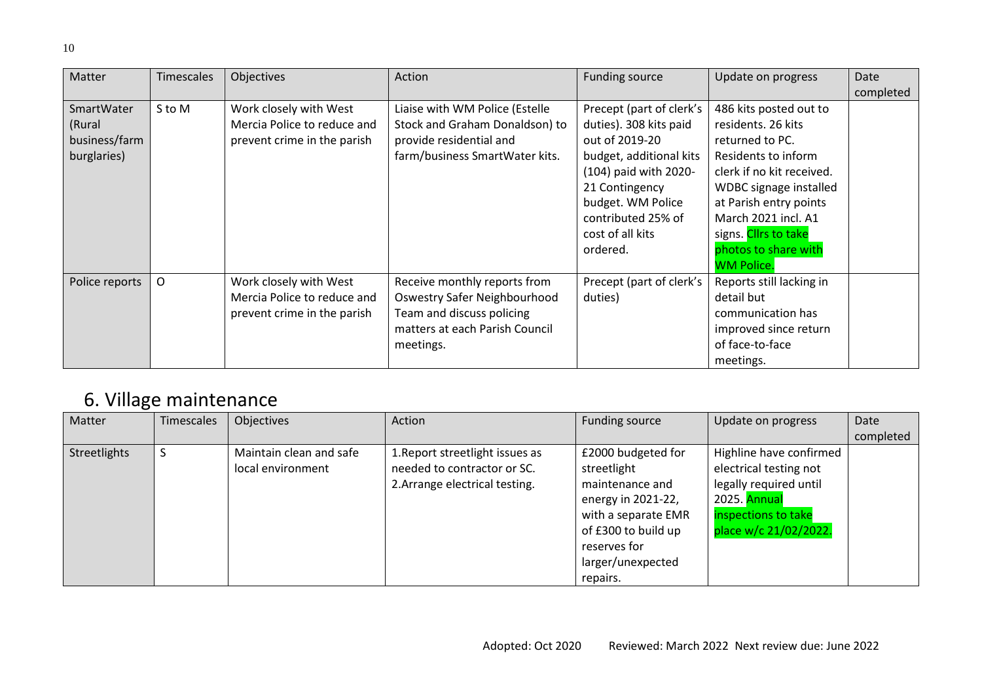<span id="page-9-0"></span>

| Matter         | <b>Timescales</b> | Objectives                  | Action                         | <b>Funding source</b>    | Update on progress        | Date      |
|----------------|-------------------|-----------------------------|--------------------------------|--------------------------|---------------------------|-----------|
|                |                   |                             |                                |                          |                           | completed |
| SmartWater     | S to M            | Work closely with West      | Liaise with WM Police (Estelle | Precept (part of clerk's | 486 kits posted out to    |           |
| (Rural         |                   | Mercia Police to reduce and | Stock and Graham Donaldson) to | duties). 308 kits paid   | residents. 26 kits        |           |
| business/farm  |                   | prevent crime in the parish | provide residential and        | out of 2019-20           | returned to PC.           |           |
| burglaries)    |                   |                             | farm/business SmartWater kits. | budget, additional kits  | Residents to inform       |           |
|                |                   |                             |                                | (104) paid with 2020-    | clerk if no kit received. |           |
|                |                   |                             |                                | 21 Contingency           | WDBC signage installed    |           |
|                |                   |                             |                                | budget. WM Police        | at Parish entry points    |           |
|                |                   |                             |                                | contributed 25% of       | March 2021 incl. A1       |           |
|                |                   |                             |                                | cost of all kits         | signs. Cllrs to take      |           |
|                |                   |                             |                                | ordered.                 | photos to share with      |           |
|                |                   |                             |                                |                          | <b>WM Police.</b>         |           |
| Police reports | 0                 | Work closely with West      | Receive monthly reports from   | Precept (part of clerk's | Reports still lacking in  |           |
|                |                   | Mercia Police to reduce and | Oswestry Safer Neighbourhood   | duties)                  | detail but                |           |
|                |                   | prevent crime in the parish | Team and discuss policing      |                          | communication has         |           |
|                |                   |                             | matters at each Parish Council |                          | improved since return     |           |
|                |                   |                             | meetings.                      |                          | of face-to-face           |           |
|                |                   |                             |                                |                          | meetings.                 |           |

## 6. Village maintenance

<span id="page-9-1"></span>

| Matter       | Timescales | Objectives              | Action                          | Funding source      | Update on progress      | Date      |
|--------------|------------|-------------------------|---------------------------------|---------------------|-------------------------|-----------|
|              |            |                         |                                 |                     |                         | completed |
| Streetlights | S          | Maintain clean and safe | 1. Report streetlight issues as | £2000 budgeted for  | Highline have confirmed |           |
|              |            | local environment       | needed to contractor or SC.     | streetlight         | electrical testing not  |           |
|              |            |                         | 2. Arrange electrical testing.  | maintenance and     | legally required until  |           |
|              |            |                         |                                 | energy in 2021-22,  | 2025. Annual            |           |
|              |            |                         |                                 | with a separate EMR | inspections to take     |           |
|              |            |                         |                                 | of £300 to build up | place w/c 21/02/2022.   |           |
|              |            |                         |                                 | reserves for        |                         |           |
|              |            |                         |                                 | larger/unexpected   |                         |           |
|              |            |                         |                                 | repairs.            |                         |           |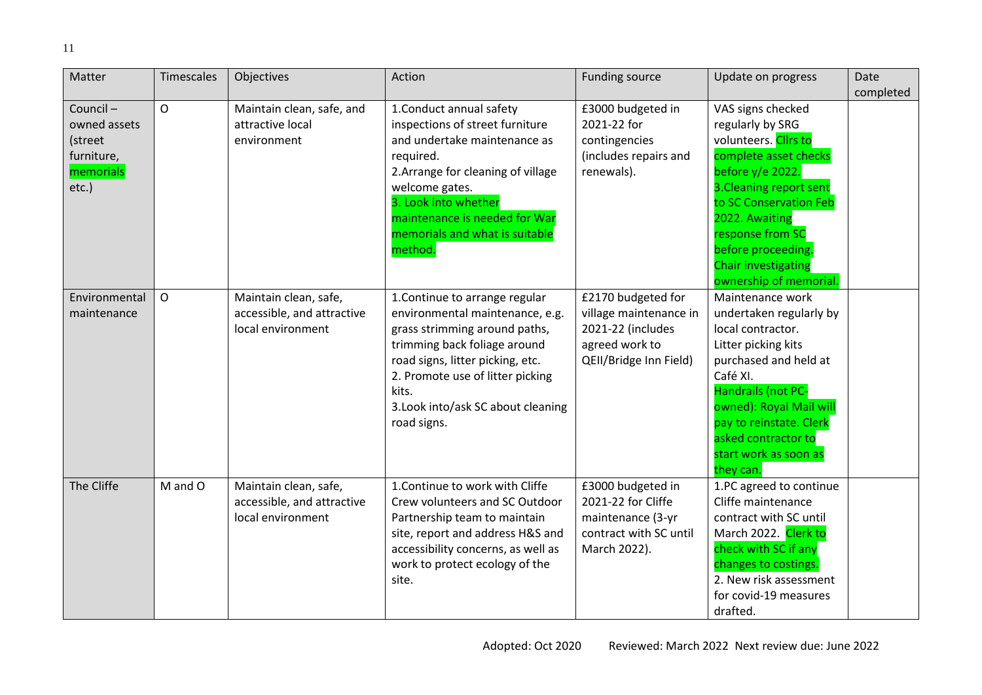| Matter                                                                     | <b>Timescales</b> | Objectives                                                               | Action                                                                                                                                                                                                                                                                   | <b>Funding source</b>                                                                                         | Update on progress                                                                                                                                                                                                                                                                              | Date      |
|----------------------------------------------------------------------------|-------------------|--------------------------------------------------------------------------|--------------------------------------------------------------------------------------------------------------------------------------------------------------------------------------------------------------------------------------------------------------------------|---------------------------------------------------------------------------------------------------------------|-------------------------------------------------------------------------------------------------------------------------------------------------------------------------------------------------------------------------------------------------------------------------------------------------|-----------|
|                                                                            |                   |                                                                          |                                                                                                                                                                                                                                                                          |                                                                                                               |                                                                                                                                                                                                                                                                                                 | completed |
| Council-<br>owned assets<br>(street<br>furniture,<br>memorials<br>$etc.$ ) | $\overline{O}$    | Maintain clean, safe, and<br>attractive local<br>environment             | 1. Conduct annual safety<br>inspections of street furniture<br>and undertake maintenance as<br>required.<br>2. Arrange for cleaning of village<br>welcome gates.<br>3. Look into whether<br>maintenance is needed for War<br>memorials and what is suitable<br>method.   | £3000 budgeted in<br>2021-22 for<br>contingencies<br>(includes repairs and<br>renewals).                      | VAS signs checked<br>regularly by SRG<br>volunteers. Clirs to<br>complete asset checks<br>before $y/e$ 2022.<br>3. Cleaning report sent<br>to SC Conservation Feb<br>2022. Awaiting<br>response from SC<br>before proceeding.<br><b>Chair investigating</b>                                     |           |
| Environmental<br>maintenance                                               | $\mathsf{O}$      | Maintain clean, safe,<br>accessible, and attractive<br>local environment | 1. Continue to arrange regular<br>environmental maintenance, e.g.<br>grass strimming around paths,<br>trimming back foliage around<br>road signs, litter picking, etc.<br>2. Promote use of litter picking<br>kits.<br>3. Look into/ask SC about cleaning<br>road signs. | £2170 budgeted for<br>village maintenance in<br>2021-22 (includes<br>agreed work to<br>QEII/Bridge Inn Field) | ownership of memorial.<br>Maintenance work<br>undertaken regularly by<br>local contractor.<br>Litter picking kits<br>purchased and held at<br>Café XI.<br>Handrails (not PC-<br>owned): Royal Mail will<br>pay to reinstate. Clerk<br>asked contractor to<br>start work as soon as<br>they can. |           |
| The Cliffe                                                                 | M and O           | Maintain clean, safe,<br>accessible, and attractive<br>local environment | 1. Continue to work with Cliffe<br>Crew volunteers and SC Outdoor<br>Partnership team to maintain<br>site, report and address H&S and<br>accessibility concerns, as well as<br>work to protect ecology of the<br>site.                                                   | £3000 budgeted in<br>2021-22 for Cliffe<br>maintenance (3-yr<br>contract with SC until<br>March 2022).        | 1.PC agreed to continue<br>Cliffe maintenance<br>contract with SC until<br>March 2022. Clerk to<br>check with SC if any<br>changes to costings.<br>2. New risk assessment<br>for covid-19 measures<br>drafted.                                                                                  |           |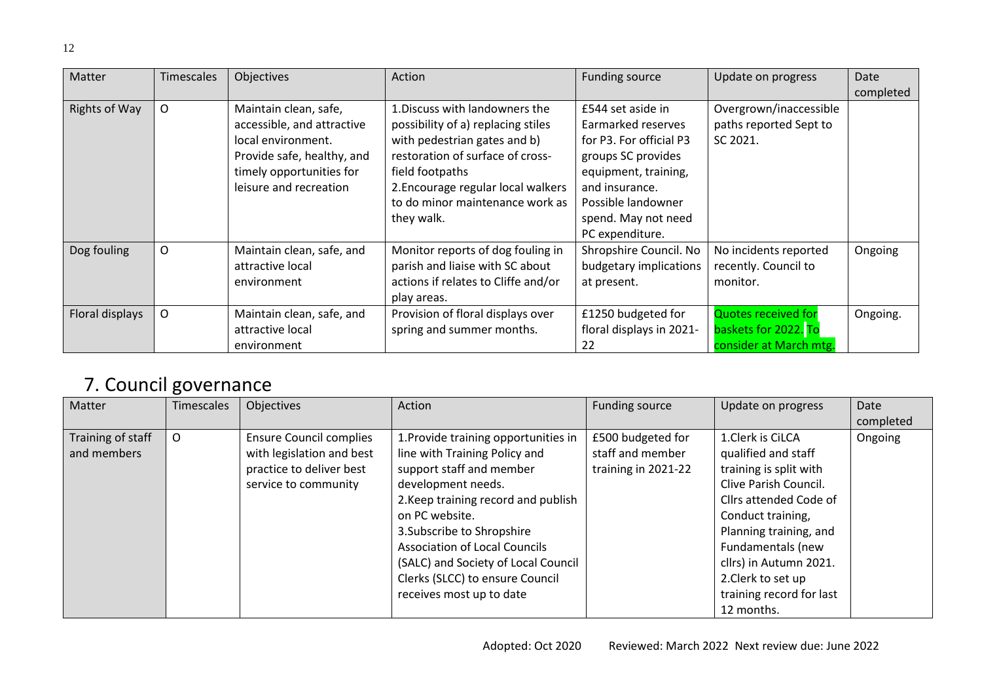| Matter               | <b>Timescales</b> | Objectives                                                                                                                                                    | Action                                                                                                                                                                                                                               | <b>Funding source</b>                                                                                                                                    | Update on progress                                                           | Date      |
|----------------------|-------------------|---------------------------------------------------------------------------------------------------------------------------------------------------------------|--------------------------------------------------------------------------------------------------------------------------------------------------------------------------------------------------------------------------------------|----------------------------------------------------------------------------------------------------------------------------------------------------------|------------------------------------------------------------------------------|-----------|
|                      |                   |                                                                                                                                                               |                                                                                                                                                                                                                                      |                                                                                                                                                          |                                                                              | completed |
| <b>Rights of Way</b> | $\circ$           | Maintain clean, safe,<br>accessible, and attractive<br>local environment.<br>Provide safe, healthy, and<br>timely opportunities for<br>leisure and recreation | 1. Discuss with landowners the<br>possibility of a) replacing stiles<br>with pedestrian gates and b)<br>restoration of surface of cross-<br>field footpaths<br>2. Encourage regular local walkers<br>to do minor maintenance work as | £544 set aside in<br>Earmarked reserves<br>for P3. For official P3<br>groups SC provides<br>equipment, training,<br>and insurance.<br>Possible landowner | Overgrown/inaccessible<br>paths reported Sept to<br>SC 2021.                 |           |
|                      |                   |                                                                                                                                                               | they walk.                                                                                                                                                                                                                           | spend. May not need<br>PC expenditure.                                                                                                                   |                                                                              |           |
| Dog fouling          | O                 | Maintain clean, safe, and<br>attractive local<br>environment                                                                                                  | Monitor reports of dog fouling in<br>parish and liaise with SC about<br>actions if relates to Cliffe and/or<br>play areas.                                                                                                           | Shropshire Council. No<br>budgetary implications<br>at present.                                                                                          | No incidents reported<br>recently. Council to<br>monitor.                    | Ongoing   |
| Floral displays      | O                 | Maintain clean, safe, and<br>attractive local<br>environment                                                                                                  | Provision of floral displays over<br>spring and summer months.                                                                                                                                                                       | £1250 budgeted for<br>floral displays in 2021-<br>22                                                                                                     | <b>Quotes received for</b><br>baskets for 2022. To<br>consider at March mtg. | Ongoing.  |

### 7. Council governance

<span id="page-11-0"></span>

| Matter                           | <b>Timescales</b> | Objectives                                                                                                      | Action                                                                                                                                                                                                                                                                                                                                                       | Funding source                                               | Update on progress                                                                                                                                                                                                                                                                 | Date<br>completed |
|----------------------------------|-------------------|-----------------------------------------------------------------------------------------------------------------|--------------------------------------------------------------------------------------------------------------------------------------------------------------------------------------------------------------------------------------------------------------------------------------------------------------------------------------------------------------|--------------------------------------------------------------|------------------------------------------------------------------------------------------------------------------------------------------------------------------------------------------------------------------------------------------------------------------------------------|-------------------|
| Training of staff<br>and members | O                 | <b>Ensure Council complies</b><br>with legislation and best<br>practice to deliver best<br>service to community | 1. Provide training opportunities in<br>line with Training Policy and<br>support staff and member<br>development needs.<br>2. Keep training record and publish<br>on PC website.<br>3. Subscribe to Shropshire<br><b>Association of Local Councils</b><br>(SALC) and Society of Local Council<br>Clerks (SLCC) to ensure Council<br>receives most up to date | £500 budgeted for<br>staff and member<br>training in 2021-22 | 1.Clerk is CiLCA<br>qualified and staff<br>training is split with<br>Clive Parish Council.<br>Cllrs attended Code of<br>Conduct training,<br>Planning training, and<br>Fundamentals (new<br>cllrs) in Autumn 2021.<br>2. Clerk to set up<br>training record for last<br>12 months. | Ongoing           |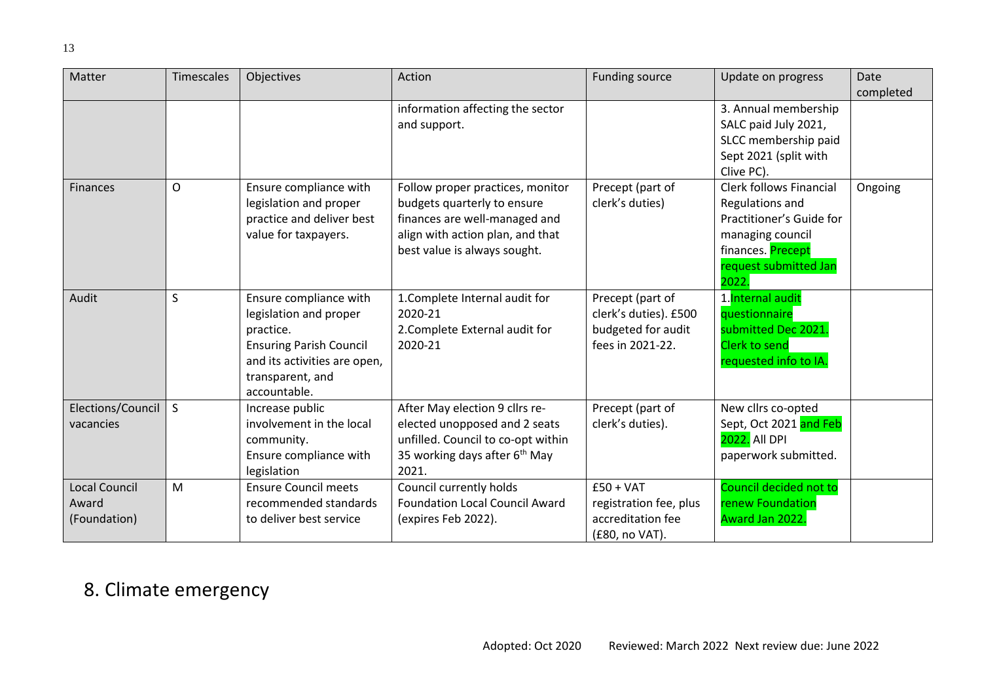| Matter                                        | Timescales   | Objectives                                                                                                                                                          | Action                                                                                                                                                               | <b>Funding source</b>                                                               | Update on progress                                                                                                                                       | Date<br>completed |
|-----------------------------------------------|--------------|---------------------------------------------------------------------------------------------------------------------------------------------------------------------|----------------------------------------------------------------------------------------------------------------------------------------------------------------------|-------------------------------------------------------------------------------------|----------------------------------------------------------------------------------------------------------------------------------------------------------|-------------------|
|                                               |              |                                                                                                                                                                     | information affecting the sector<br>and support.                                                                                                                     |                                                                                     | 3. Annual membership<br>SALC paid July 2021,<br>SLCC membership paid<br>Sept 2021 (split with<br>Clive PC).                                              |                   |
| <b>Finances</b>                               | $\circ$      | Ensure compliance with<br>legislation and proper<br>practice and deliver best<br>value for taxpayers.                                                               | Follow proper practices, monitor<br>budgets quarterly to ensure<br>finances are well-managed and<br>align with action plan, and that<br>best value is always sought. | Precept (part of<br>clerk's duties)                                                 | <b>Clerk follows Financial</b><br>Regulations and<br>Practitioner's Guide for<br>managing council<br>finances. Precept<br>request submitted Jan<br>2022. | Ongoing           |
| Audit                                         | S            | Ensure compliance with<br>legislation and proper<br>practice.<br><b>Ensuring Parish Council</b><br>and its activities are open,<br>transparent, and<br>accountable. | 1. Complete Internal audit for<br>2020-21<br>2. Complete External audit for<br>2020-21                                                                               | Precept (part of<br>clerk's duties). £500<br>budgeted for audit<br>fees in 2021-22. | 1. Internal audit<br>questionnaire<br>submitted Dec 2021.<br><b>Clerk to send</b><br>requested info to IA.                                               |                   |
| Elections/Council<br>vacancies                | <sub>S</sub> | Increase public<br>involvement in the local<br>community.<br>Ensure compliance with<br>legislation                                                                  | After May election 9 cllrs re-<br>elected unopposed and 2 seats<br>unfilled. Council to co-opt within<br>35 working days after 6 <sup>th</sup> May<br>2021.          | Precept (part of<br>clerk's duties).                                                | New cllrs co-opted<br>Sept, Oct 2021 and Feb<br>2022. All DPI<br>paperwork submitted.                                                                    |                   |
| <b>Local Council</b><br>Award<br>(Foundation) | M            | <b>Ensure Council meets</b><br>recommended standards<br>to deliver best service                                                                                     | Council currently holds<br><b>Foundation Local Council Award</b><br>(expires Feb 2022).                                                                              | $£50 + VAT$<br>registration fee, plus<br>accreditation fee<br>(£80, no VAT).        | Council decided not to<br>renew Foundation<br>Award Jan 2022.                                                                                            |                   |

### <span id="page-12-0"></span>8. Climate emergency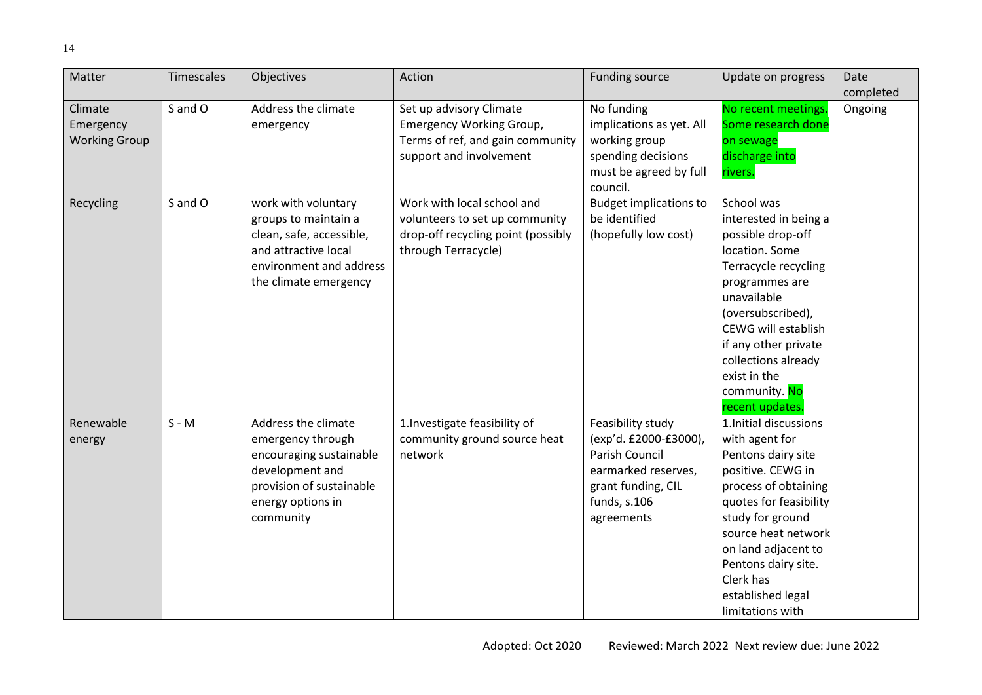| Matter                                       | Timescales | Objectives                                                                                                                                           | Action                                                                                                                    | <b>Funding source</b>                                                                                                                          | Update on progress                                                                                                                                                                                                                                                                   | Date      |
|----------------------------------------------|------------|------------------------------------------------------------------------------------------------------------------------------------------------------|---------------------------------------------------------------------------------------------------------------------------|------------------------------------------------------------------------------------------------------------------------------------------------|--------------------------------------------------------------------------------------------------------------------------------------------------------------------------------------------------------------------------------------------------------------------------------------|-----------|
|                                              |            |                                                                                                                                                      |                                                                                                                           |                                                                                                                                                |                                                                                                                                                                                                                                                                                      | completed |
| Climate<br>Emergency<br><b>Working Group</b> | S and O    | Address the climate<br>emergency                                                                                                                     | Set up advisory Climate<br>Emergency Working Group,<br>Terms of ref, and gain community<br>support and involvement        | No funding<br>implications as yet. All<br>working group<br>spending decisions<br>must be agreed by full<br>council.                            | No recent meetings.<br>Some research done<br>on sewage<br>discharge into<br>rivers.                                                                                                                                                                                                  | Ongoing   |
| Recycling                                    | S and O    | work with voluntary<br>groups to maintain a<br>clean, safe, accessible,<br>and attractive local<br>environment and address<br>the climate emergency  | Work with local school and<br>volunteers to set up community<br>drop-off recycling point (possibly<br>through Terracycle) | <b>Budget implications to</b><br>be identified<br>(hopefully low cost)                                                                         | School was<br>interested in being a<br>possible drop-off<br>location. Some<br>Terracycle recycling<br>programmes are<br>unavailable<br>(oversubscribed),<br>CEWG will establish<br>if any other private<br>collections already<br>exist in the<br>community. No<br>recent updates.   |           |
| Renewable<br>energy                          | $S - M$    | Address the climate<br>emergency through<br>encouraging sustainable<br>development and<br>provision of sustainable<br>energy options in<br>community | 1. Investigate feasibility of<br>community ground source heat<br>network                                                  | Feasibility study<br>(exp'd. £2000-£3000),<br><b>Parish Council</b><br>earmarked reserves,<br>grant funding, CIL<br>funds, s.106<br>agreements | 1. Initial discussions<br>with agent for<br>Pentons dairy site<br>positive. CEWG in<br>process of obtaining<br>quotes for feasibility<br>study for ground<br>source heat network<br>on land adjacent to<br>Pentons dairy site.<br>Clerk has<br>established legal<br>limitations with |           |